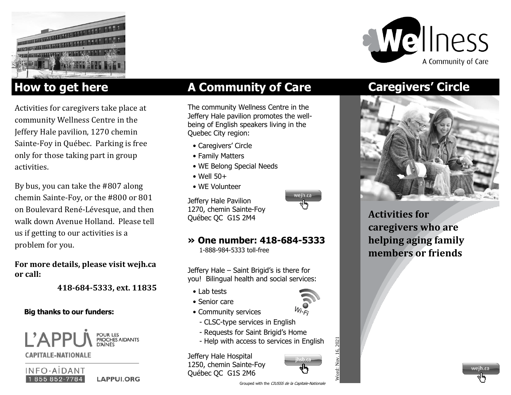



Activities for caregivers take place at community Wellness Centre in the Jeffery Hale pavilion, 1270 chemin Sainte-Foy in Québec. Parking is free only for those taking part in group activities.

By bus, you can take the #807 along chemin Sainte-Foy, or the #800 or 801 on Boulevard René-Lévesque, and then walk down Avenue Holland. Please tell us if getting to our activities is a problem for you.

**For more details, please visit wejh.ca or call:** 

 **418-684-5333, ext. 11835**

### **Big thanks to our funders:**



**CAPITALE-NATIONALE** 



# **How to get here <b>A Community of Care**

The community Wellness Centre in the Jeffery Hale pavilion promotes the wellbeing of English speakers living in the Quebec City region:

- Caregivers' Circle
- Family Matters
- WE Belong Special Needs
- $\bullet$  Well 50+
- WE Volunteer

Jeffery Hale Pavilion 1270, chemin Sainte-Foy Québec QC G1S 2M4

### **» One number: 418-684-5333**

1-888-984-5333 toll-free

Jeffery Hale – Saint Brigid's is there for you! Bilingual health and social services:

- Lab tests
- Senior care
- Community services
	- CLSC-type services in English
- Requests for Saint Brigid's Home
- Help with access to services in English

Jeffery Hale Hospital 1250, chemin Sainte-Foy Québec QC G1S 2M6



## **Caregivers' Circle**



**Activities for caregivers who are helping aging family members or friends**



wejh.ca



2021



Grouped with the CIUSSS de la Capitale-Nationale